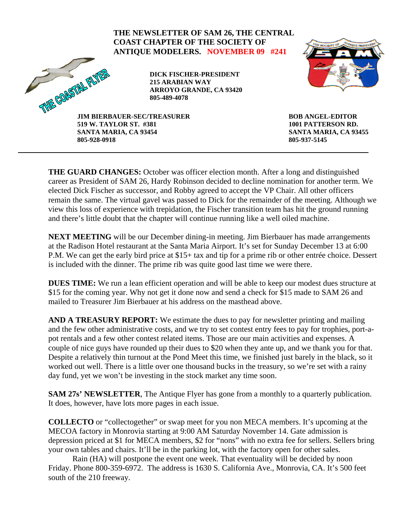## **THE NEWSLETTER OF SAM 26, THE CENTRAL COAST CHAPTER OF THE SOCIETY OF ANTIQUE MODELERS. NOVEMBER 09 #241**  THRE COASTAL FLYN **DICK FISCHER-PRESIDENT 215 ARABIAN WAY ARROYO GRANDE, CA 93420**

**805-489-4078** 



**JIM BIERBAUER-SEC/TREASURER 519 W. TAYLOR ST. #381 SANTA MARIA, CA 93454 805-928-0918** 

**BOB ANGEL-EDITOR 1001 PATTERSON RD. SANTA MARIA, CA 93455 805-937-5145** 

**THE GUARD CHANGES:** October was officer election month. After a long and distinguished career as President of SAM 26, Hardy Robinson decided to decline nomination for another term. We elected Dick Fischer as successor, and Robby agreed to accept the VP Chair. All other officers remain the same. The virtual gavel was passed to Dick for the remainder of the meeting. Although we view this loss of experience with trepidation, the Fischer transition team has hit the ground running and there's little doubt that the chapter will continue running like a well oiled machine.

**NEXT MEETING** will be our December dining-in meeting. Jim Bierbauer has made arrangements at the Radison Hotel restaurant at the Santa Maria Airport. It's set for Sunday December 13 at 6:00 P.M. We can get the early bird price at \$15+ tax and tip for a prime rib or other entrée choice. Dessert is included with the dinner. The prime rib was quite good last time we were there.

**DUES TIME:** We run a lean efficient operation and will be able to keep our modest dues structure at \$15 for the coming year. Why not get it done now and send a check for \$15 made to SAM 26 and mailed to Treasurer Jim Bierbauer at his address on the masthead above.

**AND A TREASURY REPORT:** We estimate the dues to pay for newsletter printing and mailing and the few other administrative costs, and we try to set contest entry fees to pay for trophies, port-apot rentals and a few other contest related items. Those are our main activities and expenses. A couple of nice guys have rounded up their dues to \$20 when they ante up, and we thank you for that. Despite a relatively thin turnout at the Pond Meet this time, we finished just barely in the black, so it worked out well. There is a little over one thousand bucks in the treasury, so we're set with a rainy day fund, yet we won't be investing in the stock market any time soon.

**SAM 27s' NEWSLETTER**, The Antique Flyer has gone from a monthly to a quarterly publication. It does, however, have lots more pages in each issue.

**COLLECTO** or "collectogether" or swap meet for you non MECA members. It's upcoming at the MECOA factory in Monrovia starting at 9:00 AM Saturday November 14. Gate admission is depression priced at \$1 for MECA members, \$2 for "nons" with no extra fee for sellers. Sellers bring your own tables and chairs. It'll be in the parking lot, with the factory open for other sales.

 Rain (HA) will postpone the event one week. That eventuality will be decided by noon Friday. Phone 800-359-6972. The address is 1630 S. California Ave., Monrovia, CA. It's 500 feet south of the 210 freeway.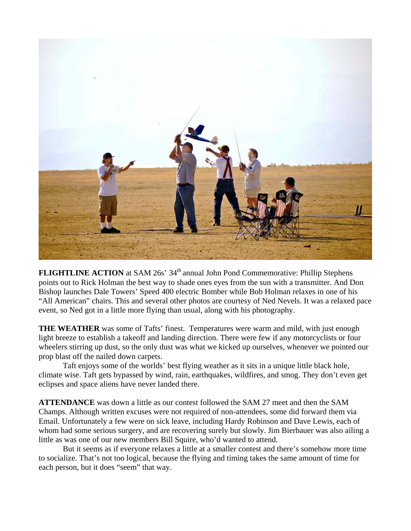

**FLIGHTLINE ACTION** at SAM 26s' 34<sup>th</sup> annual John Pond Commemorative: Phillip Stephens points out to Rick Holman the best way to shade ones eyes from the sun with a transmitter. And Don Bishop launches Dale Towers' Speed 400 electric Bomber while Bob Holman relaxes in one of his "All American" chairs. This and several other photos are courtesy of Ned Nevels. It was a relaxed pace event, so Ned got in a little more flying than usual, along with his photography.

**THE WEATHER** was some of Tafts' finest. Temperatures were warm and mild, with just enough light breeze to establish a takeoff and landing direction. There were few if any motorcyclists or four wheelers stirring up dust, so the only dust was what we kicked up ourselves, whenever we pointed our prop blast off the nailed down carpets.

Taft enjoys some of the worlds' best flying weather as it sits in a unique little black hole, climate wise. Taft gets bypassed by wind, rain, earthquakes, wildfires, and smog. They don't even get eclipses and space aliens have never landed there.

**ATTENDANCE** was down a little as our contest followed the SAM 27 meet and then the SAM Champs. Although written excuses were not required of non-attendees, some did forward them via Email. Unfortunately a few were on sick leave, including Hardy Robinson and Dave Lewis, each of whom had some serious surgery, and are recovering surely but slowly. Jim Bierbauer was also ailing a little as was one of our new members Bill Squire, who'd wanted to attend.

 But it seems as if everyone relaxes a little at a smaller contest and there's somehow more time to socialize. That's not too logical, because the flying and timing takes the same amount of time for each person, but it does "seem" that way.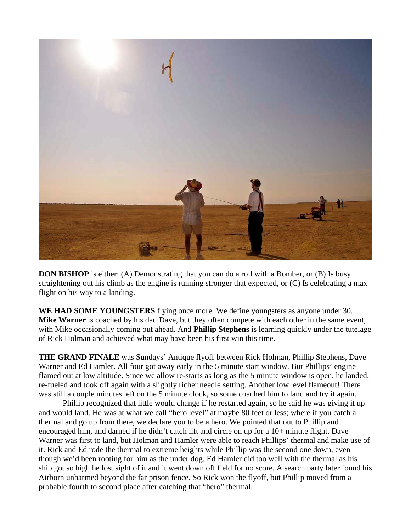

**DON BISHOP** is either: (A) Demonstrating that you can do a roll with a Bomber, or (B) Is busy straightening out his climb as the engine is running stronger that expected, or (C) Is celebrating a max flight on his way to a landing.

**WE HAD SOME YOUNGSTERS** flying once more. We define youngsters as anyone under 30. **Mike Warner** is coached by his dad Dave, but they often compete with each other in the same event, with Mike occasionally coming out ahead. And **Phillip Stephens** is learning quickly under the tutelage of Rick Holman and achieved what may have been his first win this time.

**THE GRAND FINALE** was Sundays' Antique flyoff between Rick Holman, Phillip Stephens, Dave Warner and Ed Hamler. All four got away early in the 5 minute start window. But Phillips' engine flamed out at low altitude. Since we allow re-starts as long as the 5 minute window is open, he landed, re-fueled and took off again with a slightly richer needle setting. Another low level flameout! There was still a couple minutes left on the 5 minute clock, so some coached him to land and try it again.

Phillip recognized that little would change if he restarted again, so he said he was giving it up and would land. He was at what we call "hero level" at maybe 80 feet or less; where if you catch a thermal and go up from there, we declare you to be a hero. We pointed that out to Phillip and encouraged him, and darned if he didn't catch lift and circle on up for a 10+ minute flight. Dave Warner was first to land, but Holman and Hamler were able to reach Phillips' thermal and make use of it. Rick and Ed rode the thermal to extreme heights while Phillip was the second one down, even though we'd been rooting for him as the under dog. Ed Hamler did too well with the thermal as his ship got so high he lost sight of it and it went down off field for no score. A search party later found his Airborn unharmed beyond the far prison fence. So Rick won the flyoff, but Phillip moved from a probable fourth to second place after catching that "hero" thermal.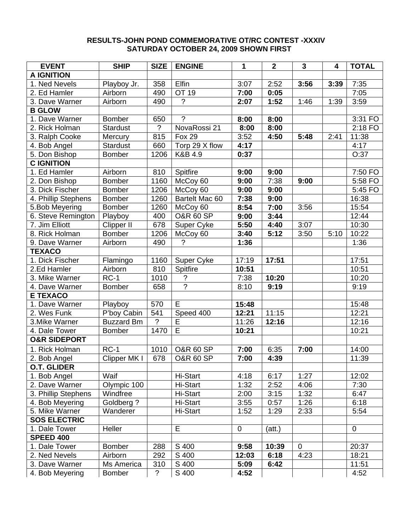#### **RESULTS-JOHN POND COMMEMORATIVE OT/RC CONTEST -XXXIV SATURDAY OCTOBER 24, 2009 SHOWN FIRST**

| <b>EVENT</b>            | <b>SHIP</b>       | <b>SIZE</b>    | <b>ENGINE</b>              | 1         | $\mathbf{2}$ | $\mathbf{3}$ | 4    | <b>TOTAL</b> |
|-------------------------|-------------------|----------------|----------------------------|-----------|--------------|--------------|------|--------------|
| <b>A IGNITION</b>       |                   |                |                            |           |              |              |      |              |
| 1. Ned Nevels           | Playboy Jr.       | 358            | Elfin                      | 3:07      | 2:52         | 3:56         | 3:39 | 7:35         |
| 2. Ed Hamler            | Airborn           | 490            | OT 19                      | 7:00      | 0:05         |              |      | 7:05         |
| 3. Dave Warner          | Airborn           | 490            | $\tilde{?}$                | 2:07      | 1:52         | 1:46         | 1:39 | 3:59         |
| <b>B GLOW</b>           |                   |                |                            |           |              |              |      |              |
| 1. Dave Warner          | <b>Bomber</b>     | 650            | $\gamma$                   | 8:00      | 8:00         |              |      | 3:31 FO      |
| 2. Rick Holman          | <b>Stardust</b>   | $\overline{?}$ | NovaRossi 21               | 8:00      | 8:00         |              |      | 2:18 FO      |
| 3. Ralph Cooke          | Mercury           | 815            | <b>Fox 29</b>              | 3:52      | 4:50         | 5:48         | 2:41 | 11:38        |
| 4. Bob Angel            | <b>Stardust</b>   | 660            | Torp 29 X flow             | 4:17      |              |              |      | 4:17         |
| 5. Don Bishop           | <b>Bomber</b>     | 1206           | K&B 4.9                    | 0:37      |              |              |      | O:37         |
| <b>C IGNITION</b>       |                   |                |                            |           |              |              |      |              |
| 1. Ed Hamler            | Airborn           | 810            | Spitfire                   | 9:00      | 9:00         |              |      | 7:50 FO      |
| 2. Don Bishop           | <b>Bomber</b>     | 1160           | McCoy 60                   | 9:00      | 7:38         | 9:00         |      | 5:58 FO      |
| 3. Dick Fischer         | <b>Bomber</b>     | 1206           | McCoy 60                   | 9:00      | 9:00         |              |      | 5:45 FO      |
| 4. Phillip Stephens     | <b>Bomber</b>     | 1260           | Bartelt Mac 60             | 7:38      | 9:00         |              |      | 16:38        |
| 5.Bob Meyering          | <b>Bomber</b>     | 1260           | McCoy 60                   | 8:54      | 7:00         | 3:56         |      | 15:54        |
| 6. Steve Remington      | Playboy           | 400            | <b>O&amp;R 60 SP</b>       | 9:00      | 3:44         |              |      | 12:44        |
| 7. Jim Elliott          | Clipper II        | 678            | Super Cyke                 | 5:50      | 4:40         | 3:07         |      | 10:30        |
| 8. Rick Holman          | <b>Bomber</b>     | 1206           | McCoy 60                   | 3:40      | 5:12         | 3:50         | 5:10 | 10:22        |
| 9. Dave Warner          | Airborn           | 490            | ?                          | 1:36      |              |              |      | 1:36         |
| <b>TEXACO</b>           |                   |                |                            |           |              |              |      |              |
| 1. Dick Fischer         | Flamingo          | 1160           | <b>Super Cyke</b>          | 17:19     | 17:51        |              |      | 17:51        |
| 2.Ed Hamler             | Airborn           | 810            | Spitfire                   | 10:51     |              |              |      | 10:51        |
| 3. Mike Warner          | $RC-1$            | 1010           | $\boldsymbol{\mathcal{C}}$ | 7:38      | 10:20        |              |      | 10:20        |
| 4. Dave Warner          | <b>Bomber</b>     | 658            | $\overline{?}$             | 8:10      | 9:19         |              |      | 9:19         |
| <b>E TEXACO</b>         |                   |                |                            |           |              |              |      |              |
| 1. Dave Warner          | Playboy           | 570            | E                          | 15:48     |              |              |      | 15:48        |
| 2. Wes Funk             | P'boy Cabin       | 541            | Speed 400                  | 12:21     | 11:15        |              |      | 12:21        |
| 3. Mike Warner          | <b>Buzzard Bm</b> | $\overline{?}$ | E                          | 11:26     | 12:16        |              |      | 12:16        |
| 4. Dale Tower           | <b>Bomber</b>     | 1470           | $\overline{E}$             | 10:21     |              |              |      | 10:21        |
| <b>O&amp;R SIDEPORT</b> |                   |                |                            |           |              |              |      |              |
| 1. Rick Holman          | $RC-1$            | 1010           | <b>O&amp;R 60 SP</b>       | 7:00      | 6:35         | 7:00         |      | 14:00        |
| 2. Bob Angel            | Clipper MK I      | 678            | <b>O&amp;R 60 SP</b>       | 7:00      | 4:39         |              |      | 11:39        |
| <b>O.T. GLIDER</b>      |                   |                |                            |           |              |              |      |              |
| 1. Bob Angel            | Waif              |                | Hi-Start                   | 4:18      | 6:17         | 1:27         |      | 12:02        |
| 2. Dave Warner          | Olympic 100       |                | Hi-Start                   | 1:32      | 2:52         | 4:06         |      | 7:30         |
| 3. Phillip Stephens     | Windfree          |                | Hi-Start                   | 2:00      | 3:15         | 1:32         |      | 6:47         |
| 4. Bob Meyering         | Goldberg ?        |                | Hi-Start                   | 3:55      | 0:57         | 1:26         |      | 6:18         |
| 5. Mike Warner          | Wanderer          |                | Hi-Start                   | 1:52      | 1:29         | 2:33         |      | 5:54         |
| <b>SOS ELECTRIC</b>     |                   |                |                            |           |              |              |      |              |
| 1. Dale Tower           | Heller            |                | E                          | $\pmb{0}$ | (att.)       |              |      | $\pmb{0}$    |
| <b>SPEED 400</b>        |                   |                |                            |           |              |              |      |              |
| 1. Dale Tower           | <b>Bomber</b>     | 288            | S 400                      | 9:58      | 10:39        | $\mathbf 0$  |      | 20:37        |
| 2. Ned Nevels           | Airborn           | 292            | S 400                      | 12:03     | 6:18         | 4:23         |      | 18:21        |
| 3. Dave Warner          | Ms America        | 310            | S 400                      | 5:09      | 6:42         |              |      | 11:51        |
| 4. Bob Meyering         | Bomber            | $\tilde{?}$    | S 400                      | 4:52      |              |              |      | 4:52         |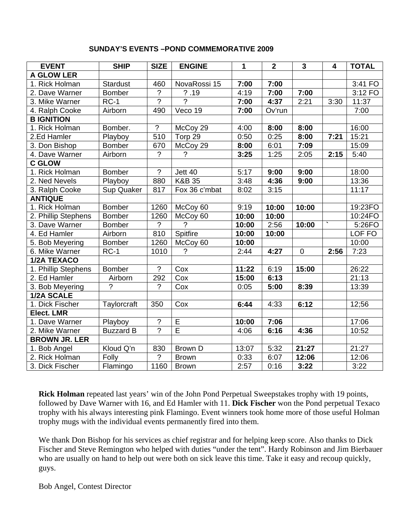#### **SUNDAY'S EVENTS –POND COMMEMORATIVE 2009**

| <b>EVENT</b>         | <b>SHIP</b>      | <b>SIZE</b>      | <b>ENGINE</b>           | 1     | $\overline{\mathbf{2}}$ | $\overline{\mathbf{3}}$ | 4    | <b>TOTAL</b>      |
|----------------------|------------------|------------------|-------------------------|-------|-------------------------|-------------------------|------|-------------------|
| <b>A GLOW LER</b>    |                  |                  |                         |       |                         |                         |      |                   |
| 1. Rick Holman       | <b>Stardust</b>  | 460              | NovaRossi 15            | 7:00  | 7:00                    |                         |      | 3:41 FO           |
| 2. Dave Warner       | <b>Bomber</b>    | $\overline{2}$   | ? .19                   | 4:19  | 7:00                    | 7:00                    |      | 3:12 FO           |
| 3. Mike Warner       | $RC-1$           | $\overline{?}$   | $\overline{?}$          | 7:00  | 4:37                    | 2:21                    | 3:30 | 11:37             |
| 4. Ralph Cooke       | Airborn          | 490              | Veco 19                 | 7:00  | Ov'run                  |                         |      | $\overline{7:}00$ |
| <b>B IGNITION</b>    |                  |                  |                         |       |                         |                         |      |                   |
| 1. Rick Holman       | Bomber.          | $\overline{?}$   | McCoy 29                | 4:00  | 8:00                    | 8:00                    |      | 16:00             |
| 2.Ed Hamler          | Playboy          | 510              | Torp 29                 | 0:50  | 0:25                    | 8:00                    | 7:21 | 15:21             |
| 3. Don Bishop        | <b>Bomber</b>    | 670              | McCoy 29                | 8:00  | 6:01                    | 7:09                    |      | 15:09             |
| 4. Dave Warner       | Airborn          | $\overline{?}$   | $\overline{?}$          | 3:25  | 1:25                    | 2:05                    | 2:15 | 5:40              |
| <b>C GLOW</b>        |                  |                  |                         |       |                         |                         |      |                   |
| 1. Rick Holman       | <b>Bomber</b>    | $\overline{?}$   | Jett 40                 | 5:17  | 9:00                    | 9:00                    |      | 18:00             |
| 2. Ned Nevels        | Playboy          | 880              | <b>K&amp;B 35</b>       | 3:48  | 4:36                    | 9:00                    |      | 13:36             |
| 3. Ralph Cooke       | Sup Quaker       | 817              | Fox 36 c'mbat           | 8:02  | 3:15                    |                         |      | 11:17             |
| <b>ANTIQUE</b>       |                  |                  |                         |       |                         |                         |      |                   |
| 1. Rick Holman       | Bomber           | 1260             | McCoy 60                | 9:19  | 10:00                   | 10:00                   |      | 19:23FO           |
| 2. Phillip Stephens  | <b>Bomber</b>    | 1260             | McCoy 60                | 10:00 | 10:00                   |                         |      | 10:24FO           |
| 3. Dave Warner       | Bomber           | ?                | $\overline{?}$          | 10:00 | 2:56                    | 10:00                   |      | 5:26FO            |
| 4. Ed Hamler         | Airborn          | 810              | Spitfire                | 10:00 | 10:00                   |                         |      | LOF FO            |
| 5. Bob Meyering      | <b>Bomber</b>    | 1260             | McCoy 60                | 10:00 |                         |                         |      | 10:00             |
| 6. Mike Warner       | $RC-1$           | 1010             | $\overline{?}$          | 2:44  | 4:27                    | $\mathbf 0$             | 2:56 | 7:23              |
| <b>1/2A TEXACO</b>   |                  |                  |                         |       |                         |                         |      |                   |
| 1. Phillip Stephens  | <b>Bomber</b>    | $\gamma$         | Cox                     | 11:22 | 6:19                    | 15:00                   |      | 26:22             |
| 2. Ed Hamler         | Airborn          | 292              | Cox                     | 15:00 | 6:13                    |                         |      | 21:13             |
| 3. Bob Meyering      | ?                | $\overline{?}$   | Cox                     | 0:05  | 5:00                    | 8:39                    |      | 13:39             |
| 1/2A SCALE           |                  |                  |                         |       |                         |                         |      |                   |
| 1. Dick Fischer      | Taylorcraft      | 350              | Cox                     | 6:44  | 4:33                    | 6:12                    |      | 12;56             |
| <b>Elect. LMR</b>    |                  |                  |                         |       |                         |                         |      |                   |
| 1. Dave Warner       | Playboy          | $\boldsymbol{?}$ | $\overline{\mathsf{E}}$ | 10:00 | 7:06                    |                         |      | 17:06             |
| 2. Mike Warner       | <b>Buzzard B</b> | $\overline{?}$   | $\overline{\mathsf{E}}$ | 4:06  | 6:16                    | 4:36                    |      | 10:52             |
| <b>BROWN JR. LER</b> |                  |                  |                         |       |                         |                         |      |                   |
| 1. Bob Angel         | Kloud Q'n        | 830              | <b>Brown D</b>          | 13:07 | 5:32                    | 21:27                   |      | 21:27             |
| 2. Rick Holman       | Folly            | $\gamma$         | <b>Brown</b>            | 0:33  | 6:07                    | 12:06                   |      | 12:06             |
| 3. Dick Fischer      | Flamingo         | 1160             | <b>Brown</b>            | 2:57  | 0:16                    | 3:22                    |      | 3:22              |

**Rick Holman** repeated last years' win of the John Pond Perpetual Sweepstakes trophy with 19 points, followed by Dave Warner with 16, and Ed Hamler with 11. **Dick Fischer** won the Pond perpetual Texaco trophy with his always interesting pink Flamingo. Event winners took home more of those useful Holman trophy mugs with the individual events permanently fired into them.

We thank Don Bishop for his services as chief registrar and for helping keep score. Also thanks to Dick Fischer and Steve Remington who helped with duties "under the tent". Hardy Robinson and Jim Bierbauer who are usually on hand to help out were both on sick leave this time. Take it easy and recoup quickly, guys.

Bob Angel, Contest Director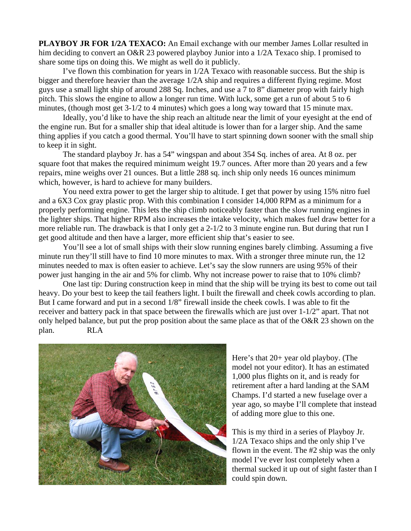**PLAYBOY JR FOR 1/2A TEXACO:** An Email exchange with our member James Lollar resulted in him deciding to convert an O&R 23 powered playboy Junior into a 1/2A Texaco ship. I promised to share some tips on doing this. We might as well do it publicly.

 I've flown this combination for years in 1/2A Texaco with reasonable success. But the ship is bigger and therefore heavier than the average 1/2A ship and requires a different flying regime. Most guys use a small light ship of around 288 Sq. Inches, and use a 7 to 8" diameter prop with fairly high pitch. This slows the engine to allow a longer run time. With luck, some get a run of about 5 to 6 minutes, (though most get 3-1/2 to 4 minutes) which goes a long way toward that 15 minute max.

 Ideally, you'd like to have the ship reach an altitude near the limit of your eyesight at the end of the engine run. But for a smaller ship that ideal altitude is lower than for a larger ship. And the same thing applies if you catch a good thermal. You'll have to start spinning down sooner with the small ship to keep it in sight.

 The standard playboy Jr. has a 54" wingspan and about 354 Sq. inches of area. At 8 oz. per square foot that makes the required minimum weight 19.7 ounces. After more than 20 years and a few repairs, mine weighs over 21 ounces. But a little 288 sq. inch ship only needs 16 ounces minimum which, however, is hard to achieve for many builders.

 You need extra power to get the larger ship to altitude. I get that power by using 15% nitro fuel and a 6X3 Cox gray plastic prop. With this combination I consider 14,000 RPM as a minimum for a properly performing engine. This lets the ship climb noticeably faster than the slow running engines in the lighter ships. That higher RPM also increases the intake velocity, which makes fuel draw better for a more reliable run. The drawback is that I only get a 2-1/2 to 3 minute engine run. But during that run I get good altitude and then have a larger, more efficient ship that's easier to see.

 You'll see a lot of small ships with their slow running engines barely climbing. Assuming a five minute run they'll still have to find 10 more minutes to max. With a stronger three minute run, the 12 minutes needed to max is often easier to achieve. Let's say the slow runners are using 95% of their power just hanging in the air and 5% for climb. Why not increase power to raise that to 10% climb?

 One last tip: During construction keep in mind that the ship will be trying its best to come out tail heavy. Do your best to keep the tail feathers light. I built the firewall and cheek cowls according to plan. But I came forward and put in a second 1/8" firewall inside the cheek cowls. I was able to fit the receiver and battery pack in that space between the firewalls which are just over 1-1/2" apart. That not only helped balance, but put the prop position about the same place as that of the O&R 23 shown on the plan. RLA



Here's that 20+ year old playboy. (The model not your editor). It has an estimated 1,000 plus flights on it, and is ready for retirement after a hard landing at the SAM Champs. I'd started a new fuselage over a year ago, so maybe I'll complete that instead of adding more glue to this one.

This is my third in a series of Playboy Jr. 1/2A Texaco ships and the only ship I've flown in the event. The #2 ship was the only model I've ever lost completely when a thermal sucked it up out of sight faster than I could spin down.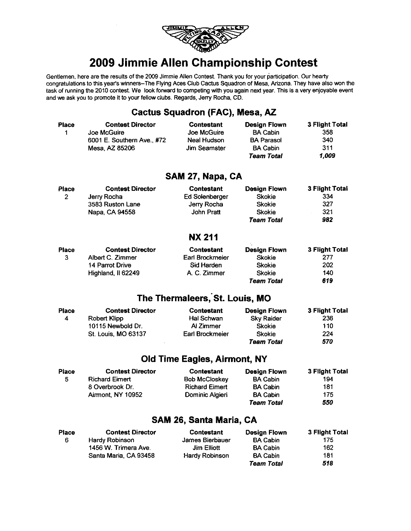

# 2009 Jimmie Allen Championship Contest

Gentlemen, here are the results of the 2009 Jimmie Allen Contest. Thank you for your participation. Our hearty congratulations to this year's winners-The Flying Aces Club Cactus Squadron of Mesa, Arizona. They have also won the task of running the 2010 contest. We look forward to competing with you again next year. This is a very enjoyable event and we ask you to promote it to your fellow clubs. Regards, Jerry Rocha, CD.

### **Cactus Squadron (FAC), Mesa, AZ**

| <b>Place</b><br>1       | <b>Contest Director</b><br>Joe McGuire<br>6001 E. Southern Ave., #72<br>Mesa, AZ 85206     | Contestant<br>Joe McGuire<br><b>Neal Hudson</b><br>Jim Seamster                | <b>Design Flown</b><br><b>BA Cabin</b><br><b>BA Parasol</b><br><b>BA Cabin</b><br>Team Total | 3 Flight Total<br>358<br>340<br>311<br>1,009      |
|-------------------------|--------------------------------------------------------------------------------------------|--------------------------------------------------------------------------------|----------------------------------------------------------------------------------------------|---------------------------------------------------|
|                         |                                                                                            | SAM 27, Napa, CA                                                               |                                                                                              |                                                   |
| Place<br>$\overline{c}$ | <b>Contest Director</b><br>Jerry Rocha<br>3583 Ruston Lane<br>Napa, CA 94558               | <b>Contestant</b><br><b>Ed Solenberger</b><br>Jerry Rocha<br>John Pratt        | <b>Design Flown</b><br><b>Skokie</b><br><b>Skokie</b><br><b>Skokie</b><br><b>Team Total</b>  | 3 Flight Total<br>334<br>327<br>321<br>982        |
|                         |                                                                                            | <b>NX 211</b>                                                                  |                                                                                              |                                                   |
| Place<br>3              | <b>Contest Director</b><br>Albert C. Zimmer<br>14 Parrot Drive<br>Highland, Il 62249       | <b>Contestant</b><br>Earl Brockmeier<br>Sid Harden<br>A. C. Zimmer             | Design Flown<br>Skokie<br><b>Skokie</b><br><b>Skokie</b><br>Team Total                       | 3 Flight Total<br>277<br>202<br>140<br>619        |
|                         |                                                                                            | The Thermaleers, St. Louis, MO                                                 |                                                                                              |                                                   |
| Place<br>4              | <b>Contest Director</b><br><b>Robert Klipp</b><br>10115 Newbold Dr.<br>St. Louis, MO 63137 | Contestant<br>Hal Schwan<br>Al Zimmer<br>Earl Brockmeier                       | <b>Design Flown</b><br><b>Sky Raider</b><br><b>Skokie</b><br>Skokie<br>Team Total            | <b>3 Flight Total</b><br>236<br>110<br>224<br>570 |
|                         |                                                                                            | <b>Old Time Eagles, Airmont, NY</b>                                            |                                                                                              |                                                   |
| Place<br>5              | <b>Contest Director</b><br><b>Richard Eimert</b><br>8 Overbrook Dr.<br>Airmont, NY 10952   | Contestant<br><b>Bob McCloskey</b><br><b>Richard Eimert</b><br>Dominic Algieri | <b>Design Flown</b><br><b>BA Cabin</b><br><b>BA Cabin</b><br><b>BA Cabin</b><br>Team Total   | 3 Flight Total<br>194<br>181<br>175<br>550        |
|                         |                                                                                            | SAM 26, Santa Maria, CA                                                        |                                                                                              |                                                   |
| <b>Place</b><br>6.      | <b>Contest Director</b><br>Hardy Robinson.                                                 | <b>Contestant</b><br>James Rierhauer.                                          | <b>Design Flown</b><br>R∆ Cahin.                                                             | 3 Flight Total<br>175.                            |

| часе | <b>Contest Director</b> | Contestant      | <b>Design Flown</b> | 3 F‼gnt i ota |
|------|-------------------------|-----------------|---------------------|---------------|
| -6   | Hardy Robinson          | James Bierbauer | <b>BA Cabin</b>     | 175           |
|      | 1456 W. Trimera Ave.    | Jim Elliott     | <b>BA Cabin</b>     | 162           |
|      | Santa Maria, CA 93458   | Hardy Robinson  | <b>BA Cabin</b>     | 181           |
|      |                         |                 | <b>Team Total</b>   | 518           |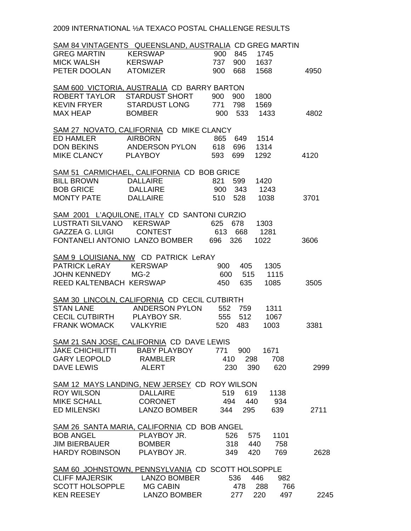2009 INTERNATIONAL ½A TEXACO POSTAL CHALLENGE RESULTS

|                            | SAM 84 VINTAGENTS QUEENSLAND, AUSTRALIA CD GREG MARTIN |                    |             |
|----------------------------|--------------------------------------------------------|--------------------|-------------|
| GREG MARTIN KERSWAP        |                                                        | 845<br>900<br>1745 |             |
| MICK WALSH KERSWAP         |                                                        | 737<br>900<br>1637 |             |
| PETER DOOLAN ATOMIZER      |                                                        | 668<br>900<br>1568 | 4950        |
|                            | SAM 600 VICTORIA, AUSTRALIA CD BARRY BARTON            |                    |             |
| ROBERT TAYLOR              | STARDUST SHORT                                         | 900<br>900<br>1800 |             |
| KEVIN FRYER                | <b>STARDUST LONG</b>                                   | 771<br>798<br>1569 |             |
| <b>MAX HEAP</b>            | <b>BOMBER</b>                                          | 900<br>533<br>1433 | 4802        |
|                            |                                                        |                    |             |
|                            | SAM 27 NOVATO, CALIFORNIA CD MIKE CLANCY               |                    |             |
| ED HAMLER AIRBORN          |                                                        | 865<br>649<br>1514 |             |
| DON BEKINS ANDERSON PYLON  |                                                        | 618<br>696<br>1314 |             |
| MIKE CLANCY PLAYBOY        |                                                        | 593<br>1292<br>699 | 4120        |
|                            | SAM 51 CARMICHAEL, CALIFORNIA CD BOB GRICE             |                    |             |
| <b>BILL BROWN</b>          | DALLAIRE                                               | 821<br>599<br>1420 |             |
| <b>BOB GRICE</b>           | DALLAIRE                                               | 900<br>343<br>1243 |             |
|                            |                                                        |                    |             |
| <b>MONTY PATE</b>          | <b>DALLAIRE</b>                                        | 510<br>528<br>1038 | 3701        |
|                            | SAM 2001 L'AQUILONE, ITALY CD SANTONI CURZIO           |                    |             |
|                            | LUSTRATI SILVANO KERSWAP                               | 625<br>678<br>1303 |             |
| GAZZEA G. LUIGI CONTEST    |                                                        | 613<br>1281<br>668 |             |
|                            | FONTANELI ANTONIO LANZO BOMBER                         | 326<br>1022<br>696 | 3606        |
|                            | SAM 9 LOUISIANA, NW CD PATRICK LeRAY                   |                    |             |
|                            |                                                        |                    |             |
| PATRICK LeRAY KERSWAP      |                                                        | 405<br>1305<br>900 |             |
| JOHN KENNEDY               | $MG-2$                                                 | 600<br>515<br>1115 |             |
| REED KALTENBACH KERSWAP    |                                                        | 1085<br>450<br>635 | 3505        |
|                            | SAM 30 LINCOLN, CALIFORNIA CD CECIL CUTBIRTH           |                    |             |
| <b>STAN LANE</b>           | ANDERSON PYLON 552 759                                 | 1311               |             |
| CECIL CUTBIRTH PLAYBOY SR. |                                                        | 555<br>512<br>1067 |             |
| FRANK WOMACK VALKYRIE      |                                                        | 1003<br>520<br>483 | 3381        |
|                            |                                                        |                    |             |
|                            | SAM 21 SAN JOSE, CALIFORNIA CD DAVE LEWIS              |                    |             |
| <b>JAKE CHICHILITTI</b>    | <b>BABY PLAYBOY</b>                                    | 771<br>1671<br>900 |             |
| <b>GARY LEOPOLD</b>        | <b>RAMBLER</b>                                         | 410<br>298<br>708  |             |
| <b>DAVE LEWIS</b>          | <b>ALERT</b>                                           | 620<br>230<br>390  | 2999        |
|                            | SAM 12 MAYS LANDING, NEW JERSEY CD ROY WILSON          |                    |             |
| <b>ROY WILSON</b>          | <b>DALLAIRE</b>                                        | 519<br>619<br>1138 |             |
| <b>MIKE SCHALL</b>         | <b>CORONET</b>                                         | 494<br>440<br>934  |             |
| <b>ED MILENSKI</b>         | <b>LANZO BOMBER</b>                                    | 639<br>344<br>295  | 2711        |
|                            |                                                        |                    |             |
|                            | SAM 26 SANTA MARIA, CALIFORNIA CD BOB ANGEL            |                    |             |
| <b>BOB ANGEL</b>           | PLAYBOY JR.                                            | 526<br>1101<br>575 |             |
| <b>JIM BIERBAUER</b>       | <b>BOMBER</b>                                          | 318<br>440<br>758  |             |
| HARDY ROBINSON             | PLAYBOY JR.                                            | 420<br>769<br>349  | 2628        |
|                            | SAM 60 JOHNSTOWN, PENNSYLVANIA CD SCOTT HOLSOPPLE      |                    |             |
| <b>CLIFF MAJERSIK</b>      | <b>LANZO BOMBER</b>                                    | 536<br>446         | 982         |
| <b>SCOTT HOLSOPPLE</b>     | <b>MG CABIN</b>                                        | 478<br>288         | 766         |
| <b>KEN REESEY</b>          | <b>LANZO BOMBER</b>                                    | 277<br>220         | 497<br>2245 |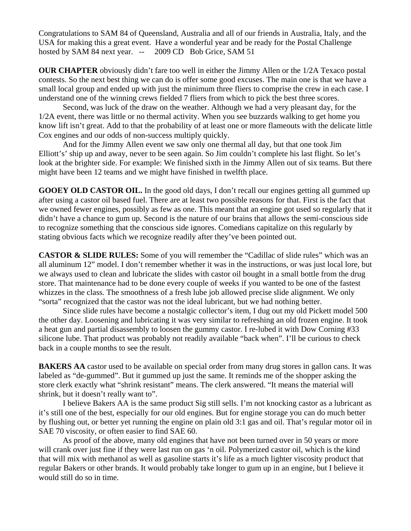Congratulations to SAM 84 of Queensland, Australia and all of our friends in Australia, Italy, and the USA for making this a great event. Have a wonderful year and be ready for the Postal Challenge hosted by SAM 84 next year. -- 2009 CD Bob Grice, SAM 51

**OUR CHAPTER** obviously didn't fare too well in either the Jimmy Allen or the 1/2A Texaco postal contests. So the next best thing we can do is offer some good excuses. The main one is that we have a small local group and ended up with just the minimum three fliers to comprise the crew in each case. I understand one of the winning crews fielded 7 fliers from which to pick the best three scores.

 Second, was luck of the draw on the weather. Although we had a very pleasant day, for the 1/2A event, there was little or no thermal activity. When you see buzzards walking to get home you know lift isn't great. Add to that the probability of at least one or more flameouts with the delicate little Cox engines and our odds of non-success multiply quickly.

 And for the Jimmy Allen event we saw only one thermal all day, but that one took Jim Elliott's' ship up and away, never to be seen again. So Jim couldn't complete his last flight. So let's look at the brighter side. For example: We finished sixth in the Jimmy Allen out of six teams. But there might have been 12 teams and we might have finished in twelfth place.

**GOOEY OLD CASTOR OIL.** In the good old days, I don't recall our engines getting all gummed up after using a castor oil based fuel. There are at least two possible reasons for that. First is the fact that we owned fewer engines, possibly as few as one. This meant that an engine got used so regularly that it didn't have a chance to gum up. Second is the nature of our brains that allows the semi-conscious side to recognize something that the conscious side ignores. Comedians capitalize on this regularly by stating obvious facts which we recognize readily after they've been pointed out.

**CASTOR & SLIDE RULES:** Some of you will remember the "Cadillac of slide rules" which was an all aluminum 12" model. I don't remember whether it was in the instructions, or was just local lore, but we always used to clean and lubricate the slides with castor oil bought in a small bottle from the drug store. That maintenance had to be done every couple of weeks if you wanted to be one of the fastest whizzes in the class. The smoothness of a fresh lube job allowed precise slide alignment. We only "sorta" recognized that the castor was not the ideal lubricant, but we had nothing better.

 Since slide rules have become a nostalgic collector's item, I dug out my old Pickett model 500 the other day. Loosening and lubricating it was very similar to refreshing an old frozen engine. It took a heat gun and partial disassembly to loosen the gummy castor. I re-lubed it with Dow Corning #33 silicone lube. That product was probably not readily available "back when". I'll be curious to check back in a couple months to see the result.

**BAKERS AA** castor used to be available on special order from many drug stores in gallon cans. It was labeled as "de-gummed". But it gummed up just the same. It reminds me of the shopper asking the store clerk exactly what "shrink resistant" means. The clerk answered. "It means the material will shrink, but it doesn't really want to".

 I believe Bakers AA is the same product Sig still sells. I'm not knocking castor as a lubricant as it's still one of the best, especially for our old engines. But for engine storage you can do much better by flushing out, or better yet running the engine on plain old 3:1 gas and oil. That's regular motor oil in SAE 70 viscosity, or often easier to find SAE 60.

 As proof of the above, many old engines that have not been turned over in 50 years or more will crank over just fine if they were last run on gas 'n oil. Polymerized castor oil, which is the kind that will mix with methanol as well as gasoline starts it's life as a much lighter viscosity product that regular Bakers or other brands. It would probably take longer to gum up in an engine, but I believe it would still do so in time.